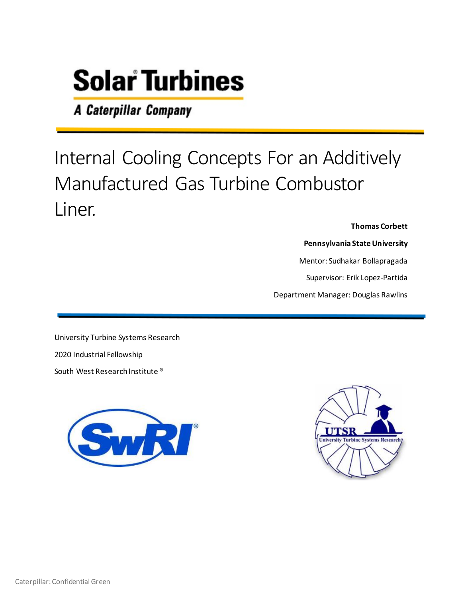A Caterpillar Company

# Internal Cooling Concepts For an Additively Manufactured Gas Turbine Combustor Liner.

**Thomas Corbett**

**Pennsylvania State University**

Mentor: Sudhakar Bollapragada

Supervisor: Erik Lopez-Partida

Department Manager: Douglas Rawlins

University Turbine Systems Research 2020 Industrial Fellowship South West Research Institute ®



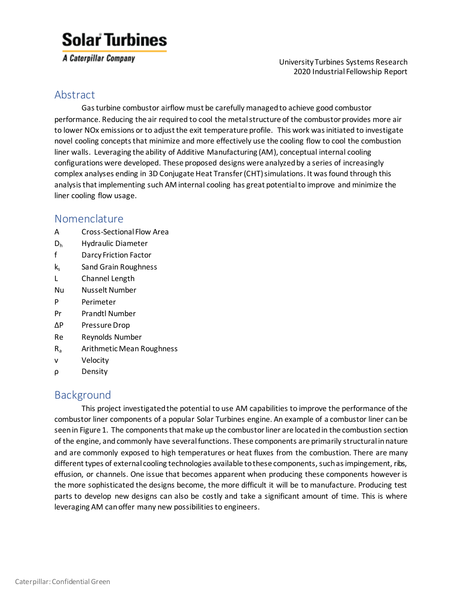A Caterpillar Company

 University Turbines Systems Research 2020 Industrial Fellowship Report

#### Abstract

Gas turbine combustor airflow must be carefully managed to achieve good combustor performance. Reducing the air required to cool the metal structure of the combustor provides more air to lower NOx emissions or to adjust the exit temperature profile. This work was initiated to investigate novel cooling concepts that minimize and more effectively use the cooling flow to cool the combustion liner walls. Leveraging the ability of Additive Manufacturing (AM), conceptual internal cooling configurations were developed. These proposed designs were analyzed by a series of increasingly complex analyses ending in 3D Conjugate Heat Transfer (CHT) simulations. It was found through this analysis that implementing such AM internal cooling has great potential to improve and minimize the liner cooling flow usage.

#### Nomenclature

- A Cross-Sectional Flow Area
- D<sup>h</sup> Hydraulic Diameter
- f Darcy Friction Factor
- k<sub>s</sub> Sand Grain Roughness
- L Channel Length
- Nu Nusselt Number
- P Perimeter
- Pr Prandtl Number
- ∆P Pressure Drop
- Re Reynolds Number
- R<sup>a</sup> Arithmetic Mean Roughness
- v Velocity
- ρ Density

#### Background

This project investigated the potential to use AM capabilities to improve the performance of the combustor liner components of a popular Solar Turbines engine. An example of a combustor liner can be seen in Figure 1. The components that make up the combustor liner are locatedin the combustion section of the engine, and commonly have several functions. These components are primarily structural in nature and are commonly exposed to high temperatures or heat fluxes from the combustion. There are many different types of external cooling technologies available to these components, such as impingement, ribs, effusion, or channels. One issue that becomes apparent when producing these components however is the more sophisticated the designs become, the more difficult it will be to manufacture. Producing test parts to develop new designs can also be costly and take a significant amount of time. This is where leveraging AM can offer many new possibilities to engineers.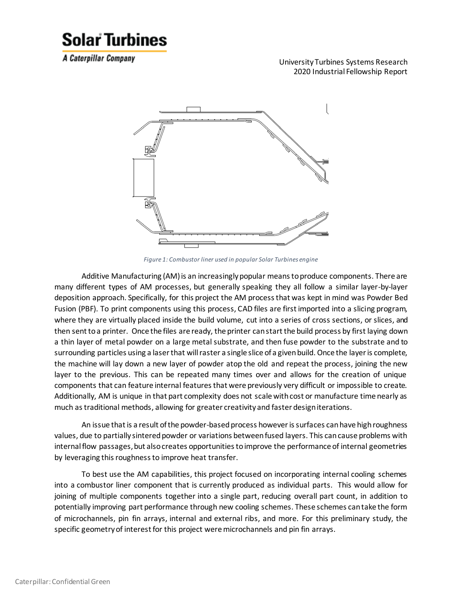A Caterpillar Company

 University Turbines Systems Research 2020 Industrial Fellowship Report



*Figure 1: Combustor liner used in popular Solar Turbines engine*

Additive Manufacturing (AM) is an increasingly popular means to produce components. There are many different types of AM processes, but generally speaking they all follow a similar layer-by-layer deposition approach. Specifically, for this project the AM process that was kept in mind was Powder Bed Fusion (PBF). To print components using this process, CAD files are first imported into a slicing program, where they are virtually placed inside the build volume, cut into a series of cross sections, or slices, and then sent to a printer. Once the files are ready, the printer can start the build process by first laying down a thin layer of metal powder on a large metal substrate, and then fuse powder to the substrate and to surrounding particles using a laser that will raster a single slice of a given build. Once the layer is complete, the machine will lay down a new layer of powder atop the old and repeat the process, joining the new layer to the previous. This can be repeated many times over and allows for the creation of unique components that can feature internal features that were previously very difficult or impossible to create. Additionally, AM is unique in that part complexity does not scale with cost or manufacture time nearly as much as traditional methods, allowing for greater creativity and faster design iterations.

An issue that is a result of the powder-based process however is surfaces can have high roughness values, due to partially sintered powder or variations between fused layers. This can cause problems with internal flow passages, but also creates opportunities to improve the performance of internal geometries by leveraging this roughness to improve heat transfer.

To best use the AM capabilities, this project focused on incorporating internal cooling schemes into a combustor liner component that is currently produced as individual parts. This would allow for joining of multiple components together into a single part, reducing overall part count, in addition to potentially improving part performance through new cooling schemes. These schemes can take the form of microchannels, pin fin arrays, internal and external ribs, and more. For this preliminary study, the specific geometry of interest for this project were microchannels and pin fin arrays.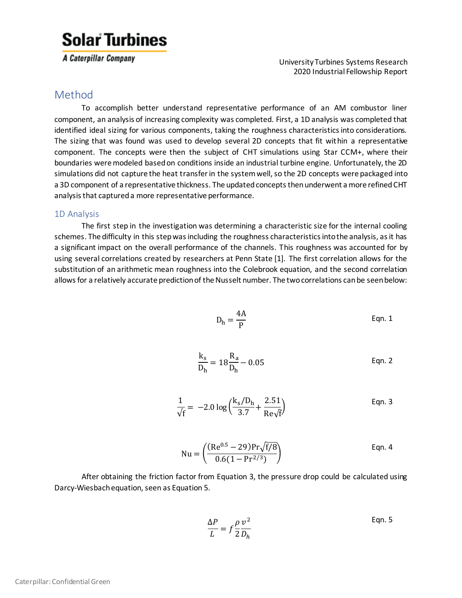A Caterpillar Company

 University Turbines Systems Research 2020 Industrial Fellowship Report

#### Method

To accomplish better understand representative performance of an AM combustor liner component, an analysis of increasing complexity was completed. First, a 1D analysis was completed that identified ideal sizing for various components, taking the roughness characteristics into considerations. The sizing that was found was used to develop several 2D concepts that fit within a representative component. The concepts were then the subject of CHT simulations using Star CCM+, where their boundaries were modeled based on conditions inside an industrial turbine engine. Unfortunately, the 2D simulations did not capture the heat transfer in the system well, so the 2D concepts were packaged into a 3D component of a representative thickness. The updated concepts then underwent a more refined CHT analysis that captured a more representative performance.

#### 1D Analysis

The first step in the investigation was determining a characteristic size for the internal cooling schemes. The difficulty in this step was including the roughness characteristics into the analysis, as it has a significant impact on the overall performance of the channels. This roughness was accounted for by using several correlations created by researchers at Penn State [1]. The first correlation allows for the substitution of an arithmetic mean roughness into the Colebrook equation, and the second correlation allows for a relatively accurate prediction of the Nusselt number. The two correlations can be seen below:

$$
D_h = \frac{4A}{P}
$$
 Eqn. 1

$$
\frac{k_s}{D_h} = 18 \frac{R_a}{D_h} - 0.05
$$
 Eqn. 2

$$
\frac{1}{\sqrt{f}} = -2.0 \log \left( \frac{k_s/D_h}{3.7} + \frac{2.51}{Re\sqrt{f}} \right)
$$
 Eqn. 3

Nu = 
$$
\left(\frac{(Re^{0.5} - 29)Pr\sqrt{f/8}}{0.6(1 - Pr^{2/3})}\right)
$$
 Eqn. 4

After obtaining the friction factor from Equation 3, the pressure drop could be calculated using Darcy-Wiesbach equation, seen as Equation 5.

$$
\frac{\Delta P}{L} = f \frac{\rho}{2} \frac{v^2}{D_h}
$$
 Eqn. 5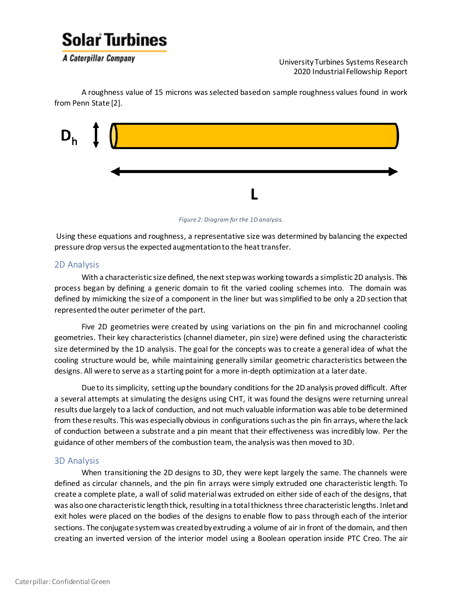

A Caterpillar Company

 University Turbines Systems Research 2020 Industrial Fellowship Report

A roughness value of 15 microns was selected based on sample roughness values found in work from Penn State [2].





Using these equations and roughness, a representative size was determined by balancing the expected pressure drop versus the expected augmentation to the heat transfer.

#### 2D Analysis

With a characteristic size defined, the next step was working towards a simplistic 2D analysis. This process began by defining a generic domain to fit the varied cooling schemes into. The domain was defined by mimicking the size of a component in the liner but was simplified to be only a 2D section that represented the outer perimeter of the part.

Five 2D geometries were created by using variations on the pin fin and microchannel cooling geometries. Their key characteristics (channel diameter, pin size) were defined using the characteristic size determined by the 1D analysis. The goal for the concepts was to create a general idea of what the cooling structure would be, while maintaining generally similar geometric characteristics between the designs. All were to serve as a starting point for a more in-depth optimization at a later date.

Due to its simplicity, setting up the boundary conditions for the 2D analysis proved difficult. After a several attempts at simulating the designs using CHT, it was found the designs were returning unreal results due largely toa lack of conduction, and not much valuable information was able to be determined from these results. This was especially obvious in configurations such as the pin fin arrays, where the lack of conduction between a substrate and a pin meant that their effectiveness was incredibly low. Per the guidance of other members of the combustion team, the analysis was then moved to 3D.

#### 3D Analysis

When transitioning the 2D designs to 3D, they were kept largely the same. The channels were defined as circular channels, and the pin fin arrays were simply extruded one characteristic length. To create a complete plate, a wall of solid material was extruded on either side of each of the designs, that was alsoone characteristic length thick, resulting in a total thickness three characteristic lengths. Inlet and exit holes were placed on the bodies of the designs to enable flow to pass through each of the interior sections. The conjugate system was created by extruding a volume of air in front of the domain, and then creating an inverted version of the interior model using a Boolean operation inside PTC Creo. The air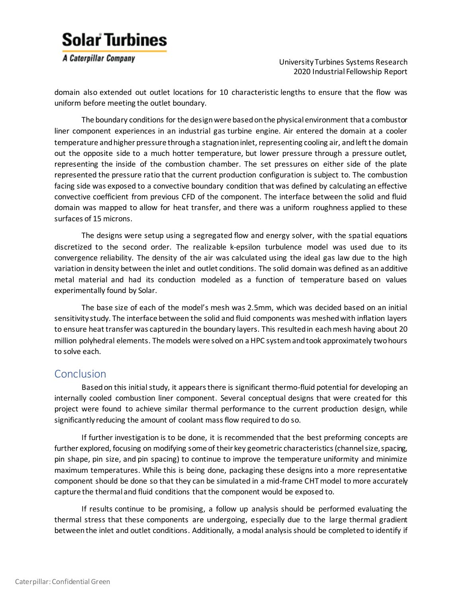A Caterpillar Company

 University Turbines Systems Research 2020 Industrial Fellowship Report

domain also extended out outlet locations for 10 characteristic lengths to ensure that the flow was uniform before meeting the outlet boundary.

The boundary conditions for the design were based on the physical environment that a combustor liner component experiences in an industrial gas turbine engine. Air entered the domain at a cooler temperature and higher pressure through a stagnation inlet, representing cooling air, and left the domain out the opposite side to a much hotter temperature, but lower pressure through a pressure outlet, representing the inside of the combustion chamber. The set pressures on either side of the plate represented the pressure ratio that the current production configuration is subject to. The combustion facing side was exposed to a convective boundary condition that was defined by calculating an effective convective coefficient from previous CFD of the component. The interface between the solid and fluid domain was mapped to allow for heat transfer, and there was a uniform roughness applied to these surfaces of 15 microns.

The designs were setup using a segregated flow and energy solver, with the spatial equations discretized to the second order. The realizable k-epsilon turbulence model was used due to its convergence reliability. The density of the air was calculated using the ideal gas law due to the high variation in density between the inlet and outlet conditions. The solid domain was defined as an additive metal material and had its conduction modeled as a function of temperature based on values experimentally found by Solar.

The base size of each of the model's mesh was 2.5mm, which was decided based on an initial sensitivity study. The interface between the solid and fluid components was meshed with inflation layers to ensure heat transfer was captured in the boundary layers. This resulted in each mesh having about 20 million polyhedral elements. The models were solved on a HPC system and took approximately two hours to solve each.

#### Conclusion

Based on this initial study, it appears there is significant thermo-fluid potential for developing an internally cooled combustion liner component. Several conceptual designs that were created for this project were found to achieve similar thermal performance to the current production design, while significantly reducing the amount of coolant mass flow required to do so.

If further investigation is to be done, it is recommended that the best preforming concepts are further explored, focusing on modifying some of their key geometric characteristics (channel size, spacing, pin shape, pin size, and pin spacing) to continue to improve the temperature uniformity and minimize maximum temperatures. While this is being done, packaging these designs into a more representative component should be done so that they can be simulated in a mid-frame CHT model to more accurately capture the thermal and fluid conditions that the component would be exposed to.

If results continue to be promising, a follow up analysis should be performed evaluating the thermal stress that these components are undergoing, especially due to the large thermal gradient between the inlet and outlet conditions. Additionally, a modal analysis should be completed to identify if